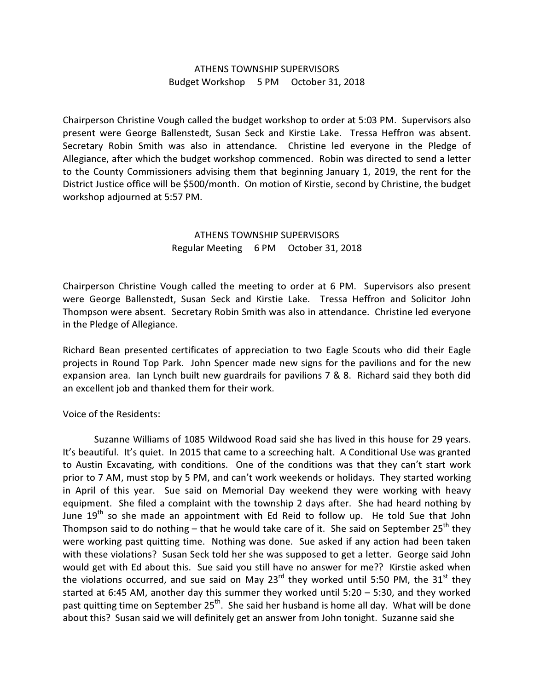## ATHENS TOWNSHIP SUPERVISORS Budget Workshop 5 PM October 31, 2018

Chairperson Christine Vough called the budget workshop to order at 5:03 PM. Supervisors also present were George Ballenstedt, Susan Seck and Kirstie Lake. Tressa Heffron was absent. Secretary Robin Smith was also in attendance. Christine led everyone in the Pledge of Allegiance, after which the budget workshop commenced. Robin was directed to send a letter to the County Commissioners advising them that beginning January 1, 2019, the rent for the District Justice office will be \$500/month. On motion of Kirstie, second by Christine, the budget workshop adjourned at 5:57 PM.

## ATHENS TOWNSHIP SUPERVISORS Regular Meeting 6 PM October 31, 2018

Chairperson Christine Vough called the meeting to order at 6 PM. Supervisors also present were George Ballenstedt, Susan Seck and Kirstie Lake. Tressa Heffron and Solicitor John Thompson were absent. Secretary Robin Smith was also in attendance. Christine led everyone in the Pledge of Allegiance.

Richard Bean presented certificates of appreciation to two Eagle Scouts who did their Eagle projects in Round Top Park. John Spencer made new signs for the pavilions and for the new expansion area. Ian Lynch built new guardrails for pavilions 7 & 8. Richard said they both did an excellent job and thanked them for their work.

Voice of the Residents:

 Suzanne Williams of 1085 Wildwood Road said she has lived in this house for 29 years. It's beautiful. It's quiet. In 2015 that came to a screeching halt. A Conditional Use was granted to Austin Excavating, with conditions. One of the conditions was that they can't start work prior to 7 AM, must stop by 5 PM, and can't work weekends or holidays. They started working in April of this year. Sue said on Memorial Day weekend they were working with heavy equipment. She filed a complaint with the township 2 days after. She had heard nothing by June 19<sup>th</sup> so she made an appointment with Ed Reid to follow up. He told Sue that John Thompson said to do nothing – that he would take care of it. She said on September 25<sup>th</sup> they were working past quitting time. Nothing was done. Sue asked if any action had been taken with these violations? Susan Seck told her she was supposed to get a letter. George said John would get with Ed about this. Sue said you still have no answer for me?? Kirstie asked when the violations occurred, and sue said on May 23 $^{rd}$  they worked until 5:50 PM, the 31 $^{st}$  they started at 6:45 AM, another day this summer they worked until 5:20 – 5:30, and they worked past quitting time on September 25<sup>th</sup>. She said her husband is home all day. What will be done about this? Susan said we will definitely get an answer from John tonight. Suzanne said she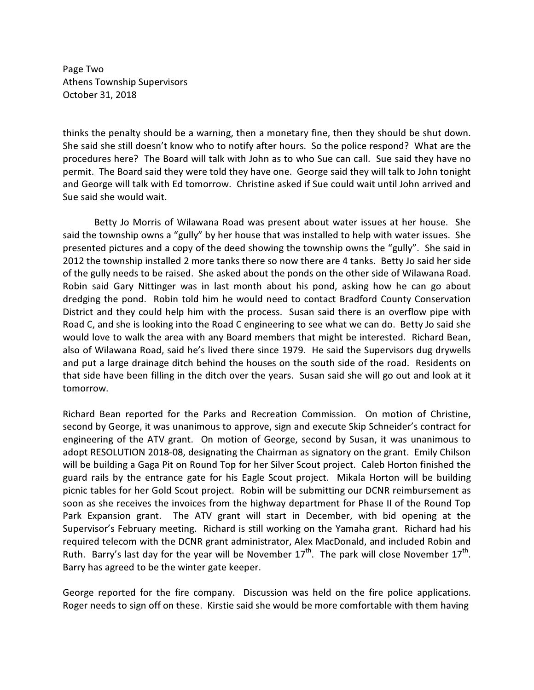Page Two Athens Township Supervisors October 31, 2018

thinks the penalty should be a warning, then a monetary fine, then they should be shut down. She said she still doesn't know who to notify after hours. So the police respond? What are the procedures here? The Board will talk with John as to who Sue can call. Sue said they have no permit. The Board said they were told they have one. George said they will talk to John tonight and George will talk with Ed tomorrow. Christine asked if Sue could wait until John arrived and Sue said she would wait.

 Betty Jo Morris of Wilawana Road was present about water issues at her house. She said the township owns a "gully" by her house that was installed to help with water issues. She presented pictures and a copy of the deed showing the township owns the "gully". She said in 2012 the township installed 2 more tanks there so now there are 4 tanks. Betty Jo said her side of the gully needs to be raised. She asked about the ponds on the other side of Wilawana Road. Robin said Gary Nittinger was in last month about his pond, asking how he can go about dredging the pond. Robin told him he would need to contact Bradford County Conservation District and they could help him with the process. Susan said there is an overflow pipe with Road C, and she is looking into the Road C engineering to see what we can do. Betty Jo said she would love to walk the area with any Board members that might be interested. Richard Bean, also of Wilawana Road, said he's lived there since 1979. He said the Supervisors dug drywells and put a large drainage ditch behind the houses on the south side of the road. Residents on that side have been filling in the ditch over the years. Susan said she will go out and look at it tomorrow.

Richard Bean reported for the Parks and Recreation Commission. On motion of Christine, second by George, it was unanimous to approve, sign and execute Skip Schneider's contract for engineering of the ATV grant. On motion of George, second by Susan, it was unanimous to adopt RESOLUTION 2018-08, designating the Chairman as signatory on the grant. Emily Chilson will be building a Gaga Pit on Round Top for her Silver Scout project. Caleb Horton finished the guard rails by the entrance gate for his Eagle Scout project. Mikala Horton will be building picnic tables for her Gold Scout project. Robin will be submitting our DCNR reimbursement as soon as she receives the invoices from the highway department for Phase II of the Round Top Park Expansion grant. The ATV grant will start in December, with bid opening at the Supervisor's February meeting. Richard is still working on the Yamaha grant. Richard had his required telecom with the DCNR grant administrator, Alex MacDonald, and included Robin and Ruth. Barry's last day for the year will be November  $17^{th}$ . The park will close November  $17^{th}$ . Barry has agreed to be the winter gate keeper.

George reported for the fire company. Discussion was held on the fire police applications. Roger needs to sign off on these. Kirstie said she would be more comfortable with them having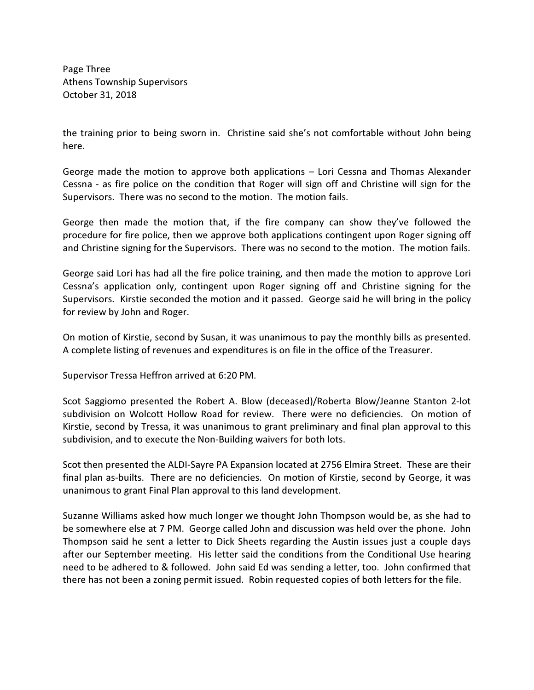Page Three Athens Township Supervisors October 31, 2018

the training prior to being sworn in. Christine said she's not comfortable without John being here.

George made the motion to approve both applications – Lori Cessna and Thomas Alexander Cessna - as fire police on the condition that Roger will sign off and Christine will sign for the Supervisors. There was no second to the motion. The motion fails.

George then made the motion that, if the fire company can show they've followed the procedure for fire police, then we approve both applications contingent upon Roger signing off and Christine signing for the Supervisors. There was no second to the motion. The motion fails.

George said Lori has had all the fire police training, and then made the motion to approve Lori Cessna's application only, contingent upon Roger signing off and Christine signing for the Supervisors. Kirstie seconded the motion and it passed. George said he will bring in the policy for review by John and Roger.

On motion of Kirstie, second by Susan, it was unanimous to pay the monthly bills as presented. A complete listing of revenues and expenditures is on file in the office of the Treasurer.

Supervisor Tressa Heffron arrived at 6:20 PM.

Scot Saggiomo presented the Robert A. Blow (deceased)/Roberta Blow/Jeanne Stanton 2-lot subdivision on Wolcott Hollow Road for review. There were no deficiencies. On motion of Kirstie, second by Tressa, it was unanimous to grant preliminary and final plan approval to this subdivision, and to execute the Non-Building waivers for both lots.

Scot then presented the ALDI-Sayre PA Expansion located at 2756 Elmira Street. These are their final plan as-builts. There are no deficiencies. On motion of Kirstie, second by George, it was unanimous to grant Final Plan approval to this land development.

Suzanne Williams asked how much longer we thought John Thompson would be, as she had to be somewhere else at 7 PM. George called John and discussion was held over the phone. John Thompson said he sent a letter to Dick Sheets regarding the Austin issues just a couple days after our September meeting. His letter said the conditions from the Conditional Use hearing need to be adhered to & followed. John said Ed was sending a letter, too. John confirmed that there has not been a zoning permit issued. Robin requested copies of both letters for the file.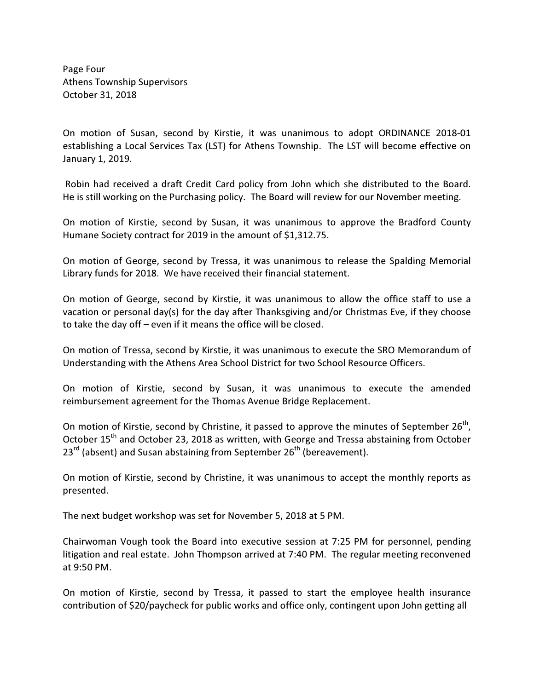Page Four Athens Township Supervisors October 31, 2018

On motion of Susan, second by Kirstie, it was unanimous to adopt ORDINANCE 2018-01 establishing a Local Services Tax (LST) for Athens Township. The LST will become effective on January 1, 2019.

 Robin had received a draft Credit Card policy from John which she distributed to the Board. He is still working on the Purchasing policy. The Board will review for our November meeting.

On motion of Kirstie, second by Susan, it was unanimous to approve the Bradford County Humane Society contract for 2019 in the amount of \$1,312.75.

On motion of George, second by Tressa, it was unanimous to release the Spalding Memorial Library funds for 2018. We have received their financial statement.

On motion of George, second by Kirstie, it was unanimous to allow the office staff to use a vacation or personal day(s) for the day after Thanksgiving and/or Christmas Eve, if they choose to take the day off – even if it means the office will be closed.

On motion of Tressa, second by Kirstie, it was unanimous to execute the SRO Memorandum of Understanding with the Athens Area School District for two School Resource Officers.

On motion of Kirstie, second by Susan, it was unanimous to execute the amended reimbursement agreement for the Thomas Avenue Bridge Replacement.

On motion of Kirstie, second by Christine, it passed to approve the minutes of September 26<sup>th</sup>, October 15<sup>th</sup> and October 23, 2018 as written, with George and Tressa abstaining from October  $23^{rd}$  (absent) and Susan abstaining from September  $26^{th}$  (bereavement).

On motion of Kirstie, second by Christine, it was unanimous to accept the monthly reports as presented.

The next budget workshop was set for November 5, 2018 at 5 PM.

Chairwoman Vough took the Board into executive session at 7:25 PM for personnel, pending litigation and real estate. John Thompson arrived at 7:40 PM. The regular meeting reconvened at 9:50 PM.

On motion of Kirstie, second by Tressa, it passed to start the employee health insurance contribution of \$20/paycheck for public works and office only, contingent upon John getting all